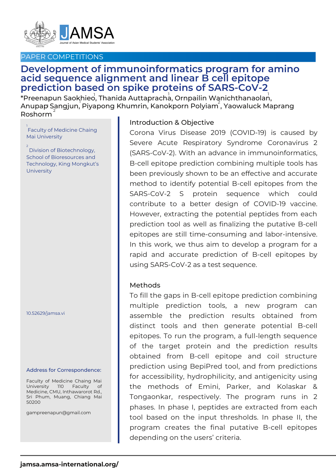

## PAPER COMPETITIONS

# **Development of immunoinformatics program for amino acid sequence alignment and linear B cell epitope prediction based on spike proteins of SARS-CoV-2**

 $^\ast$ Preenapun Saokhieo, Thanida Auttapracha, Ornpailin Wanichthanaolan, Anupap Sangjun, Piyapong Khumrin, Kanokporn Polyiam , Yaowaluck Maprang<br>Pashawa <sup>2</sup> Roshorm المستقل المستقل المستقلة المستقلة المستقلة المستقلة المستقلة المستقلة المستقلة المستقلة المستقلة المستقلة المس<br>المستقلة المستقلة المستقلة المستقلة المستقلة المستقلة المستقلة المستقلة المستقلة المستقلة المستقلة المستقلة ال

 $^{\rm 1}$ Faculty of Medicine Chaing Mai University

 $\degree$  Division of Biotechnology, School of Bioresources and Technology, King Mongkut's **University** 

10.52629/jamsa.vi

#### Address for Correspondence:

Faculty of Medicine Chaing Mai University 110 Faculty Medicine, CMU, Inthawarorot Rd., Sri Phum, Muang, Chiang Mai 50200

gampreenapun@gmail.com

## Introduction & Objective

Corona Virus Disease 2019 (COVID-19) is caused by Severe Acute Respiratory Syndrome Coronavirus 2 (SARS-CoV-2). With an advance in immunoinformatics, B-cell epitope prediction combining multiple tools has been previously shown to be an effective and accurate method to identify potential B-cell epitopes from the SARS-CoV-2 S protein sequence which could contribute to a better design of COVID-19 vaccine. However, extracting the potential peptides from each prediction tool as well as finalizing the putative B-cell epitopes are still time-consuming and labor-intensive. In this work, we thus aim to develop a program for a rapid and accurate prediction of B-cell epitopes by using SARS-CoV-2 as a test sequence.

### Methods

To fill the gaps in B-cell epitope prediction combining multiple prediction tools, a new program can assemble the prediction results obtained from distinct tools and then generate potential B-cell epitopes. To run the program, a full-length sequence of the target protein and the prediction results obtained from B-cell epitope and coil structure prediction using BepiPred tool, and from predictions for accessibility, hydrophilicity, and antigenicity using the methods of Emini, Parker, and Kolaskar & Tongaonkar, respectively. The program runs in 2 phases. In phase I, peptides are extracted from each tool based on the input thresholds. In phase II, the program creates the final putative B-cell epitopes depending on the users' criteria.